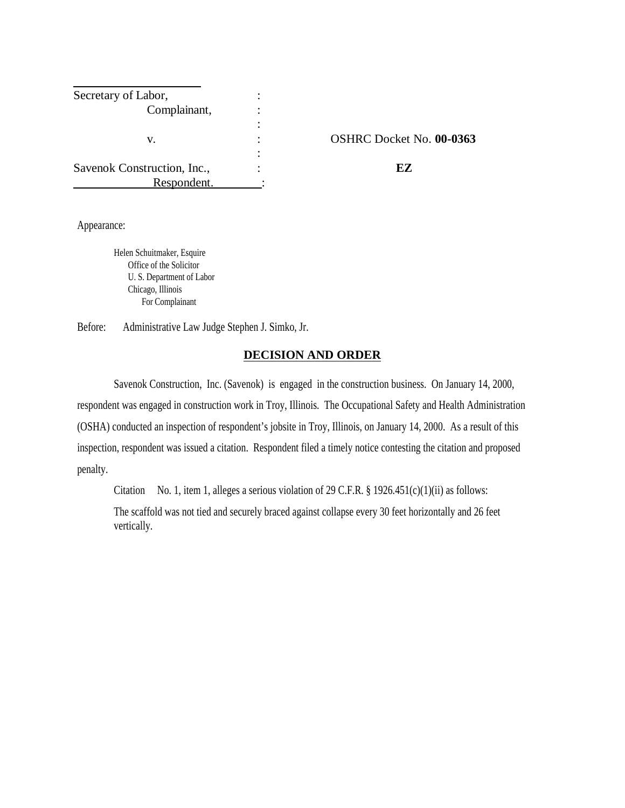| Secretary of Labor,         |                          |
|-----------------------------|--------------------------|
| Complainant,                |                          |
|                             |                          |
| v.                          | OSHRC Docket No. 00-0363 |
|                             |                          |
| Savenok Construction, Inc., | EZ.                      |
| Respondent.                 |                          |

Appearance:

Helen Schuitmaker, Esquire Office of the Solicitor U. S. Department of Labor Chicago, Illinois For Complainant

Before: Administrative Law Judge Stephen J. Simko, Jr.

### **DECISION AND ORDER**

Savenok Construction, Inc. (Savenok) is engaged in the construction business. On January 14, 2000, respondent was engaged in construction work in Troy, Illinois. The Occupational Safety and Health Administration (OSHA) conducted an inspection of respondent's jobsite in Troy, Illinois, on January 14, 2000. As a result of this inspection, respondent was issued a citation. Respondent filed a timely notice contesting the citation and proposed penalty.

Citation No. 1, item 1, alleges a serious violation of 29 C.F.R. § 1926.451(c)(1)(ii) as follows:

The scaffold was not tied and securely braced against collapse every 30 feet horizontally and 26 feet vertically.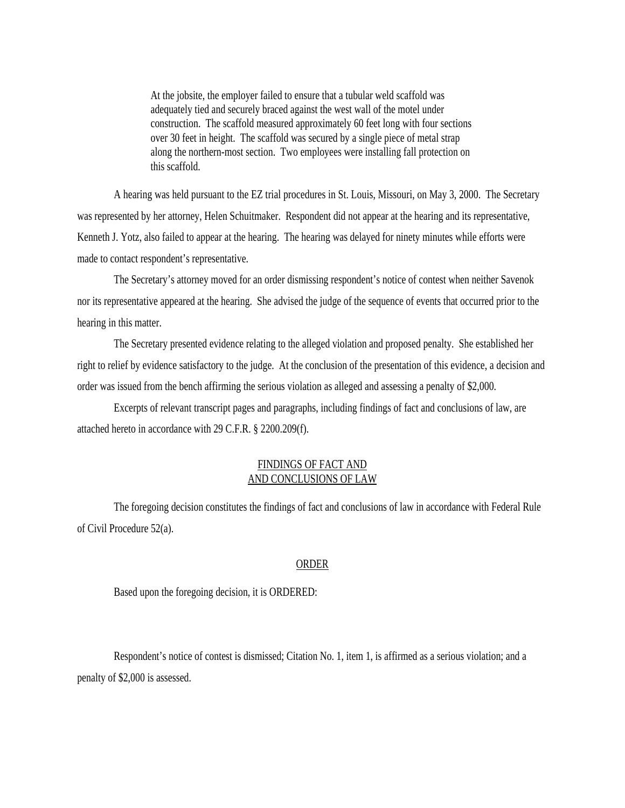At the jobsite, the employer failed to ensure that a tubular weld scaffold was adequately tied and securely braced against the west wall of the motel under construction. The scaffold measured approximately 60 feet long with four sections over 30 feet in height. The scaffold was secured by a single piece of metal strap along the northern-most section. Two employees were installing fall protection on this scaffold.

A hearing was held pursuant to the EZ trial procedures in St. Louis, Missouri, on May 3, 2000. The Secretary was represented by her attorney, Helen Schuitmaker. Respondent did not appear at the hearing and its representative, Kenneth J. Yotz, also failed to appear at the hearing. The hearing was delayed for ninety minutes while efforts were made to contact respondent's representative.

The Secretary's attorney moved for an order dismissing respondent's notice of contest when neither Savenok nor its representative appeared at the hearing. She advised the judge of the sequence of events that occurred prior to the hearing in this matter.

The Secretary presented evidence relating to the alleged violation and proposed penalty. She established her right to relief by evidence satisfactory to the judge. At the conclusion of the presentation of this evidence, a decision and order was issued from the bench affirming the serious violation as alleged and assessing a penalty of \$2,000.

Excerpts of relevant transcript pages and paragraphs, including findings of fact and conclusions of law, are attached hereto in accordance with 29 C.F.R. § 2200.209(f).

### FINDINGS OF FACT AND AND CONCLUSIONS OF LAW

The foregoing decision constitutes the findings of fact and conclusions of law in accordance with Federal Rule of Civil Procedure 52(a).

#### ORDER

Based upon the foregoing decision, it is ORDERED:

Respondent's notice of contest is dismissed; Citation No. 1, item 1, is affirmed as a serious violation; and a penalty of \$2,000 is assessed.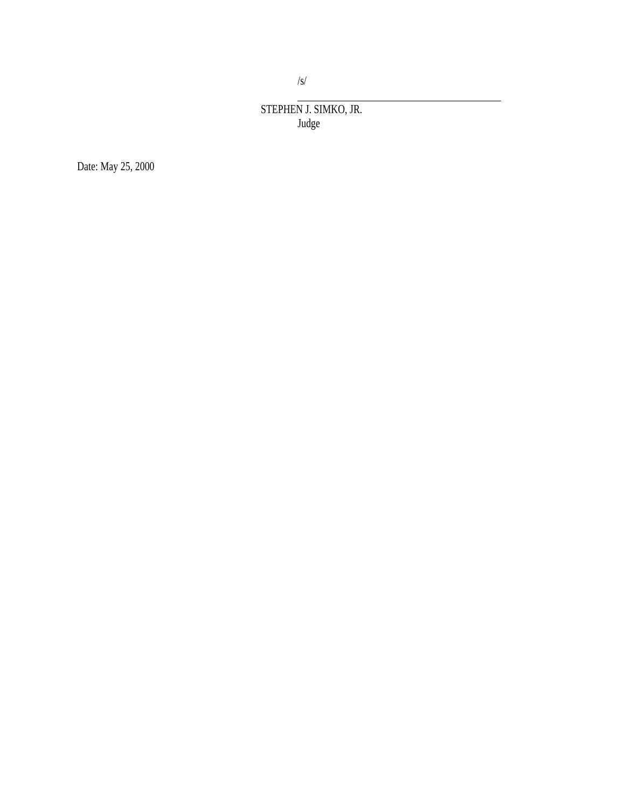STEPHEN J. SIMKO, JR. Judge

Date: May 25, 2000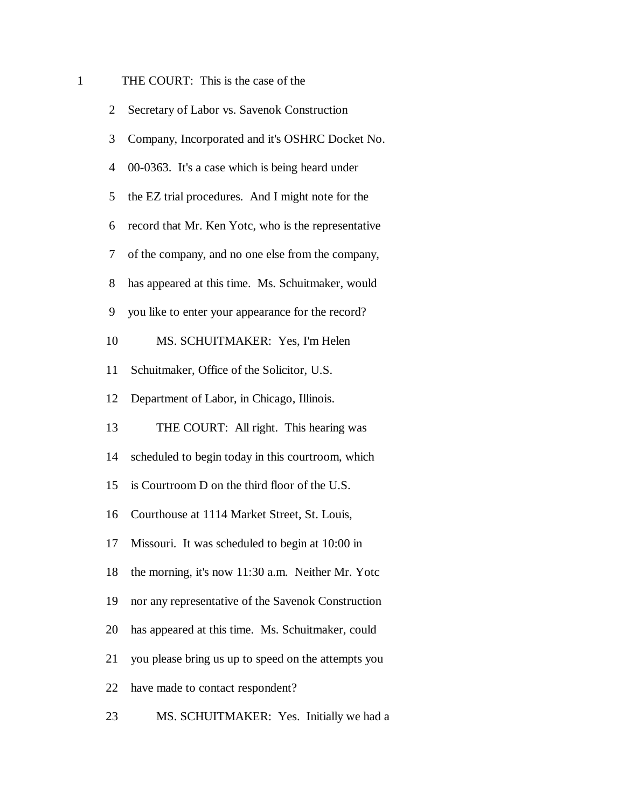# 1 THE COURT: This is the case of the

| $\overline{2}$ | Secretary of Labor vs. Savenok Construction         |
|----------------|-----------------------------------------------------|
| 3              | Company, Incorporated and it's OSHRC Docket No.     |
| 4              | 00-0363. It's a case which is being heard under     |
| 5              | the EZ trial procedures. And I might note for the   |
| 6              | record that Mr. Ken Yotc, who is the representative |
| 7              | of the company, and no one else from the company,   |
| 8              | has appeared at this time. Ms. Schuitmaker, would   |
| 9              | you like to enter your appearance for the record?   |
| 10             | MS. SCHUITMAKER: Yes, I'm Helen                     |
| 11             | Schuitmaker, Office of the Solicitor, U.S.          |
| 12             | Department of Labor, in Chicago, Illinois.          |
| 13             | THE COURT: All right. This hearing was              |
| 14             | scheduled to begin today in this courtroom, which   |
| 15             | is Courtroom D on the third floor of the U.S.       |
| 16             | Courthouse at 1114 Market Street, St. Louis,        |
| 17             | Missouri. It was scheduled to begin at 10:00 in     |
| 18             | the morning, it's now 11:30 a.m. Neither Mr. Yotc   |
| 19             | nor any representative of the Savenok Construction  |
| 20             | has appeared at this time. Ms. Schuitmaker, could   |
| 21             | you please bring us up to speed on the attempts you |
| 22             | have made to contact respondent?                    |
| 23             | MS. SCHUITMAKER: Yes. Initially we had a            |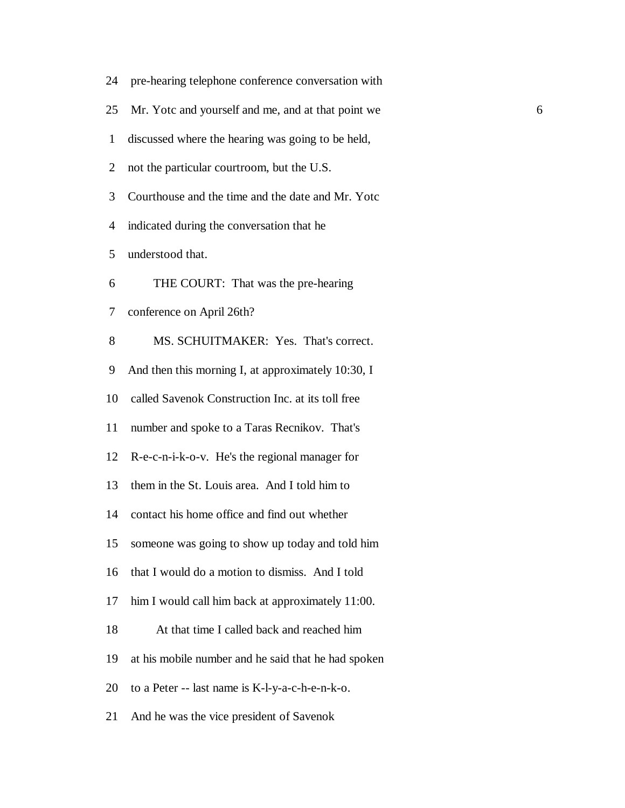|  |  | 24 pre-hearing telephone conference conversation with |  |
|--|--|-------------------------------------------------------|--|
|  |  |                                                       |  |

- 25 Mr. Yotc and yourself and me, and at that point we 6
- 1 discussed where the hearing was going to be held,
- 2 not the particular courtroom, but the U.S.
- 3 Courthouse and the time and the date and Mr. Yotc
- 4 indicated during the conversation that he

5 understood that.

- 6 THE COURT: That was the pre-hearing
- 7 conference on April 26th?
- 8 MS. SCHUITMAKER: Yes. That's correct.
- 9 And then this morning I, at approximately 10:30, I
- 10 called Savenok Construction Inc. at its toll free
- 11 number and spoke to a Taras Recnikov. That's
- 12 R-e-c-n-i-k-o-v. He's the regional manager for
- 13 them in the St. Louis area. And I told him to
- 14 contact his home office and find out whether
- 15 someone was going to show up today and told him
- 16 that I would do a motion to dismiss. And I told
- 17 him I would call him back at approximately 11:00.
- 18 At that time I called back and reached him
- 19 at his mobile number and he said that he had spoken
- 20 to a Peter -- last name is K-l-y-a-c-h-e-n-k-o.
- 21 And he was the vice president of Savenok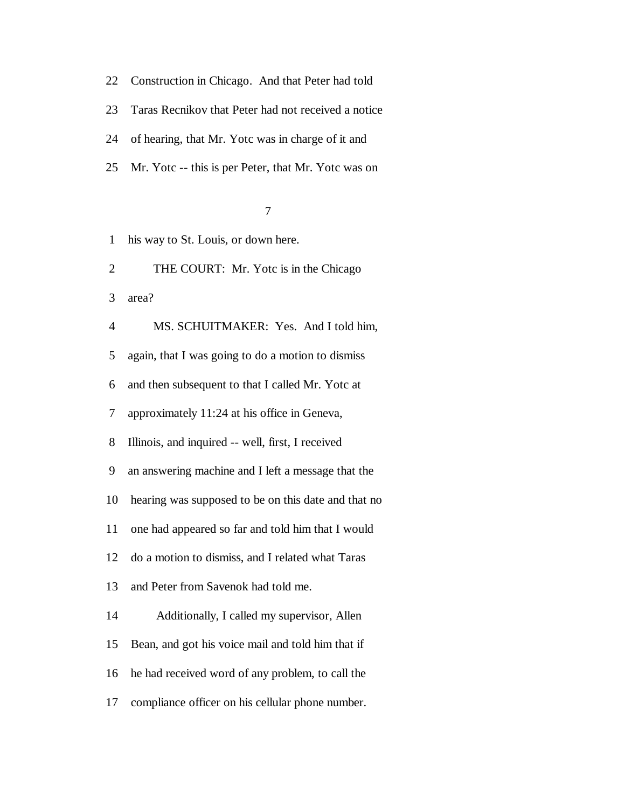- 22 Construction in Chicago. And that Peter had told
- 23 Taras Recnikov that Peter had not received a notice
- 24 of hearing, that Mr. Yotc was in charge of it and
- 25 Mr. Yotc -- this is per Peter, that Mr. Yotc was on

- 1 his way to St. Louis, or down here.
- 2 THE COURT: Mr. Yotc is in the Chicago

3 area?

- 4 MS. SCHUITMAKER: Yes. And I told him,
- 5 again, that I was going to do a motion to dismiss
- 6 and then subsequent to that I called Mr. Yotc at
- 7 approximately 11:24 at his office in Geneva,
- 8 Illinois, and inquired -- well, first, I received
- 9 an answering machine and I left a message that the
- 10 hearing was supposed to be on this date and that no
- 11 one had appeared so far and told him that I would
- 12 do a motion to dismiss, and I related what Taras
- 13 and Peter from Savenok had told me.
- 14 Additionally, I called my supervisor, Allen
- 15 Bean, and got his voice mail and told him that if
- 16 he had received word of any problem, to call the
- 17 compliance officer on his cellular phone number.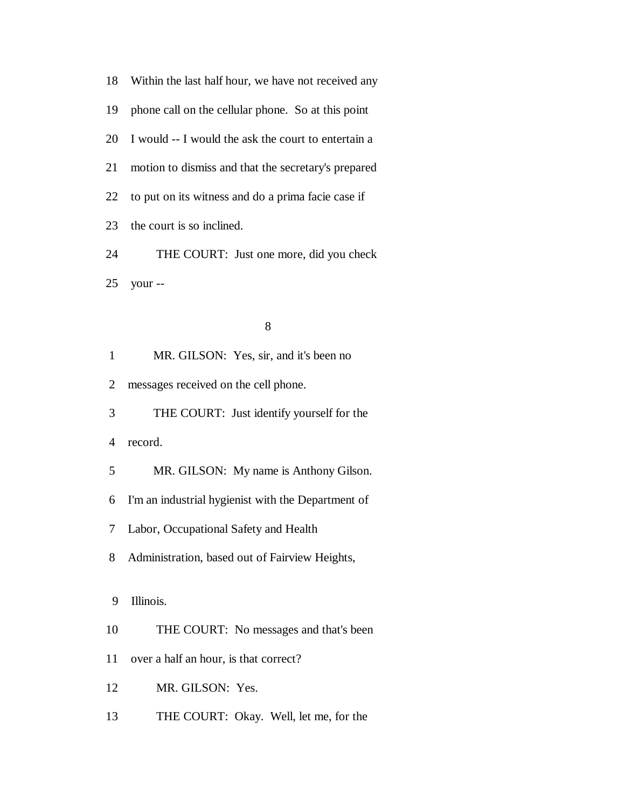18 Within the last half hour, we have not received any 19 phone call on the cellular phone. So at this point 20 I would -- I would the ask the court to entertain a 21 motion to dismiss and that the secretary's prepared 22 to put on its witness and do a prima facie case if 23 the court is so inclined. 24 THE COURT: Just one more, did you check 25 your --

8

1 MR. GILSON: Yes, sir, and it's been no

2 messages received on the cell phone.

3 THE COURT: Just identify yourself for the

4 record.

5 MR. GILSON: My name is Anthony Gilson.

6 I'm an industrial hygienist with the Department of

7 Labor, Occupational Safety and Health

8 Administration, based out of Fairview Heights,

9 Illinois.

10 THE COURT: No messages and that's been

11 over a half an hour, is that correct?

12 MR. GILSON: Yes.

13 THE COURT: Okay. Well, let me, for the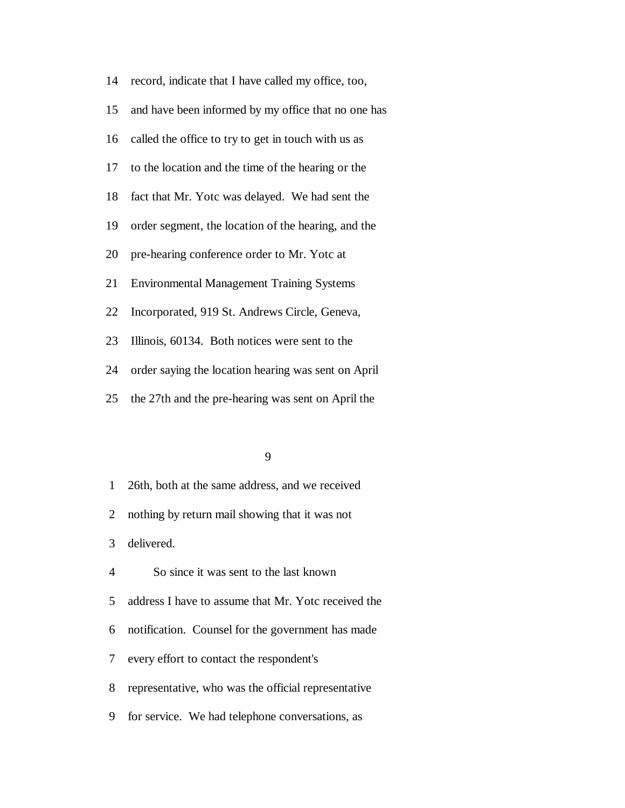| 14 | record, indicate that I have called my office, too, |
|----|-----------------------------------------------------|
| 15 | and have been informed by my office that no one has |
| 16 | called the office to try to get in touch with us as |
| 17 | to the location and the time of the hearing or the  |
| 18 | fact that Mr. Yotc was delayed. We had sent the     |
| 19 | order segment, the location of the hearing, and the |
| 20 | pre-hearing conference order to Mr. Yotc at         |
| 21 | <b>Environmental Management Training Systems</b>    |
| 22 | Incorporated, 919 St. Andrews Circle, Geneva,       |
| 23 | Illinois, 60134. Both notices were sent to the      |
| 24 | order saying the location hearing was sent on April |
| 25 | the 27th and the pre-hearing was sent on April the  |

1 26th, both at the same address, and we received

2 nothing by return mail showing that it was not

3 delivered.

4 So since it was sent to the last known

5 address I have to assume that Mr. Yotc received the

6 notification. Counsel for the government has made

7 every effort to contact the respondent's

8 representative, who was the official representative

9 for service. We had telephone conversations, as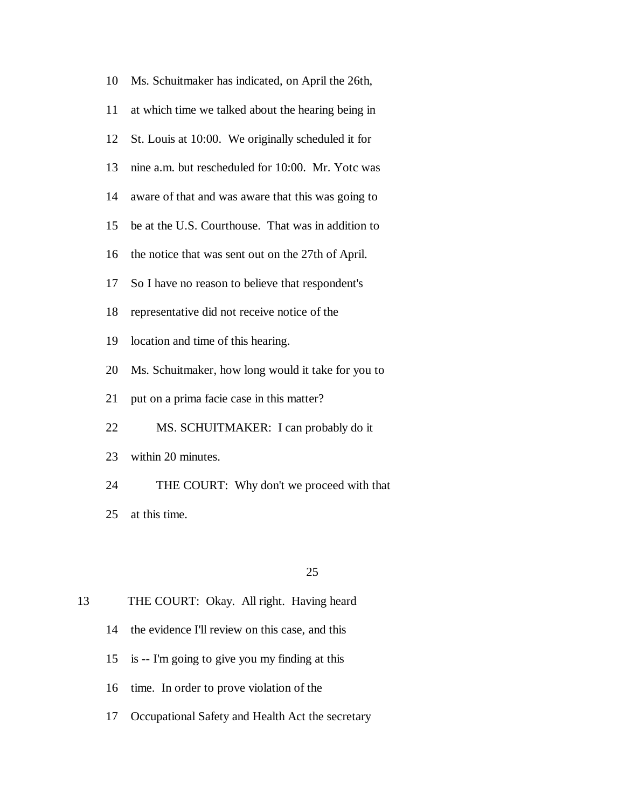| 10 | Ms. Schuitmaker has indicated, on April the 26th,  |
|----|----------------------------------------------------|
| 11 | at which time we talked about the hearing being in |
| 12 | St. Louis at 10:00. We originally scheduled it for |
| 13 | nine a.m. but rescheduled for 10:00. Mr. Yotc was  |
| 14 | aware of that and was aware that this was going to |
| 15 | be at the U.S. Courthouse. That was in addition to |
| 16 | the notice that was sent out on the 27th of April. |
| 17 | So I have no reason to believe that respondent's   |
| 18 | representative did not receive notice of the       |
| 19 | location and time of this hearing.                 |
| 20 | Ms. Schuitmaker, how long would it take for you to |
| 21 | put on a prima facie case in this matter?          |
| 22 | MS. SCHUITMAKER: I can probably do it              |
| 23 | within 20 minutes.                                 |
| 24 | THE COURT: Why don't we proceed with that          |
| 25 | at this time.                                      |
|    |                                                    |

# 13 THE COURT: Okay. All right. Having heard

- 14 the evidence I'll review on this case, and this
- 15 is -- I'm going to give you my finding at this
- 16 time. In order to prove violation of the
- 17 Occupational Safety and Health Act the secretary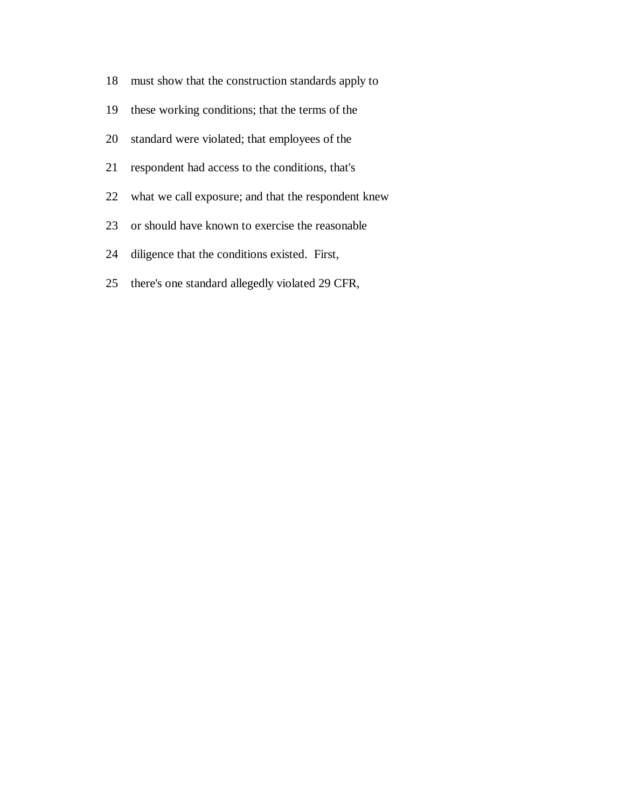- 18 must show that the construction standards apply to
- 19 these working conditions; that the terms of the
- 20 standard were violated; that employees of the
- 21 respondent had access to the conditions, that's
- 22 what we call exposure; and that the respondent knew
- 23 or should have known to exercise the reasonable
- 24 diligence that the conditions existed. First,
- 25 there's one standard allegedly violated 29 CFR,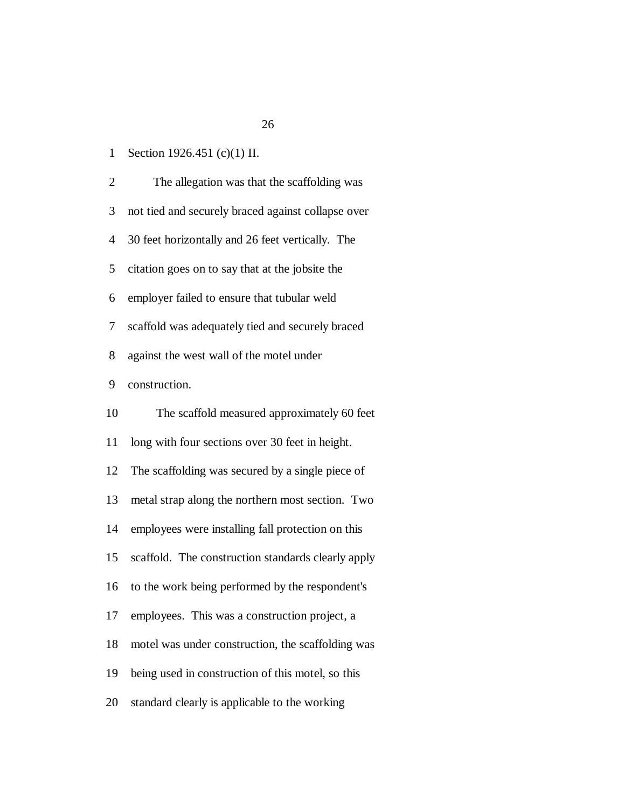1 Section 1926.451 (c)(1) II.

 2 The allegation was that the scaffolding was 3 not tied and securely braced against collapse over 4 30 feet horizontally and 26 feet vertically. The 5 citation goes on to say that at the jobsite the 6 employer failed to ensure that tubular weld 7 scaffold was adequately tied and securely braced 8 against the west wall of the motel under 9 construction. 10 The scaffold measured approximately 60 feet 11 long with four sections over 30 feet in height. 12 The scaffolding was secured by a single piece of 13 metal strap along the northern most section. Two 14 employees were installing fall protection on this 15 scaffold. The construction standards clearly apply 16 to the work being performed by the respondent's 17 employees. This was a construction project, a 18 motel was under construction, the scaffolding was 19 being used in construction of this motel, so this 20 standard clearly is applicable to the working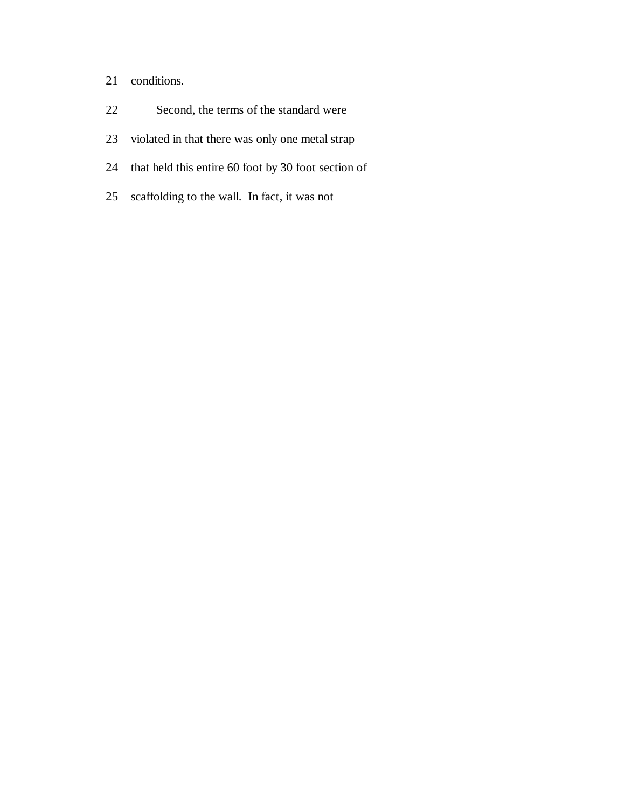- 21 conditions.
- 22 Second, the terms of the standard were
- 23 violated in that there was only one metal strap
- 24 that held this entire 60 foot by 30 foot section of
- 25 scaffolding to the wall. In fact, it was not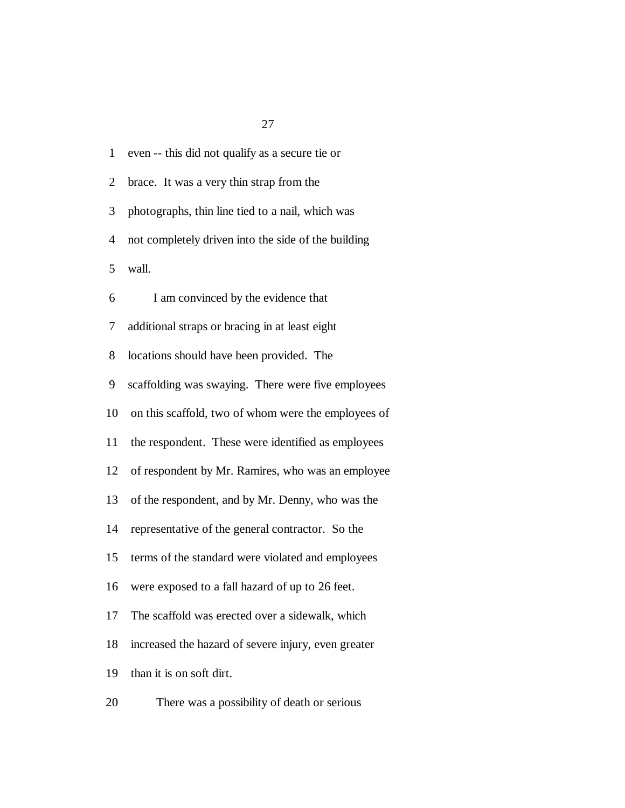| $\mathbf{1}$   | even -- this did not qualify as a secure tie or     |
|----------------|-----------------------------------------------------|
| $\overline{2}$ | brace. It was a very thin strap from the            |
| 3              | photographs, thin line tied to a nail, which was    |
| 4              | not completely driven into the side of the building |
| 5              | wall.                                               |
| 6              | I am convinced by the evidence that                 |
| 7              | additional straps or bracing in at least eight      |
| 8              | locations should have been provided. The            |
| 9              | scaffolding was swaying. There were five employees  |
| 10             | on this scaffold, two of whom were the employees of |
| 11             | the respondent. These were identified as employees  |
| 12             | of respondent by Mr. Ramires, who was an employee   |
| 13             | of the respondent, and by Mr. Denny, who was the    |
| 14             | representative of the general contractor. So the    |
| 15             | terms of the standard were violated and employees   |
| 16             | were exposed to a fall hazard of up to 26 feet.     |
| 17             | The scaffold was erected over a sidewalk, which     |
| 18             | increased the hazard of severe injury, even greater |
| 19             | than it is on soft dirt.                            |
| 20             | There was a possibility of death or serious         |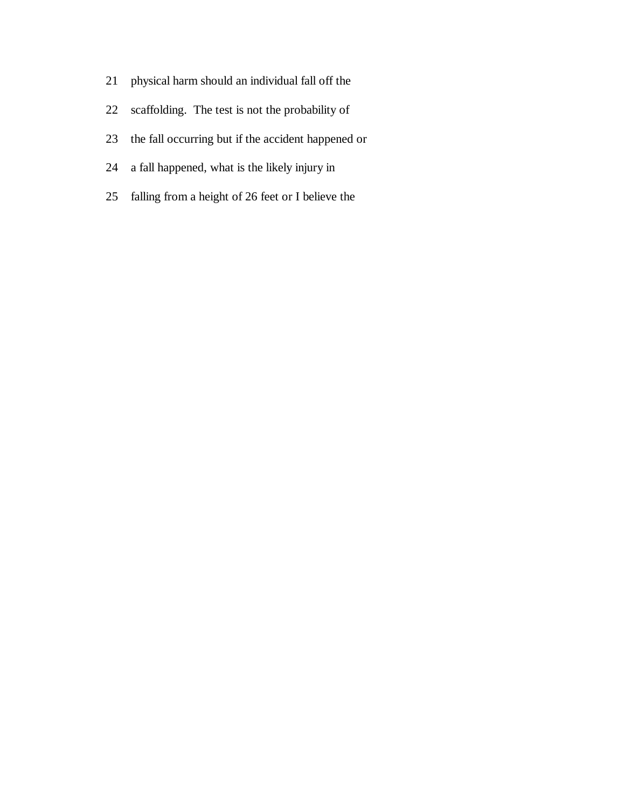- 21 physical harm should an individual fall off the
- 22 scaffolding. The test is not the probability of
- 23 the fall occurring but if the accident happened or
- 24 a fall happened, what is the likely injury in
- 25 falling from a height of 26 feet or I believe the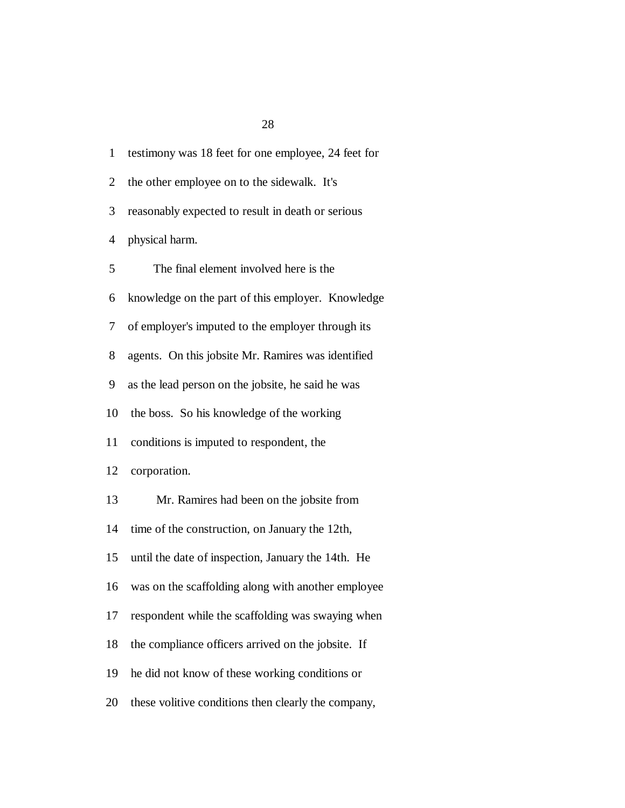| $\mathbf{1}$   | testimony was 18 feet for one employee, 24 feet for |
|----------------|-----------------------------------------------------|
| $\overline{2}$ | the other employee on to the sidewalk. It's         |
| 3              | reasonably expected to result in death or serious   |
| 4              | physical harm.                                      |
| 5              | The final element involved here is the              |
| 6              | knowledge on the part of this employer. Knowledge   |
| 7              | of employer's imputed to the employer through its   |
| 8              | agents. On this jobsite Mr. Ramires was identified  |
| 9              | as the lead person on the jobsite, he said he was   |
| 10             | the boss. So his knowledge of the working           |
| 11             | conditions is imputed to respondent, the            |
| 12             | corporation.                                        |
| 13             | Mr. Ramires had been on the jobsite from            |
| 14             | time of the construction, on January the 12th,      |
| 15             | until the date of inspection, January the 14th. He  |
| 16             | was on the scaffolding along with another employee  |
| 17             | respondent while the scaffolding was swaying when   |
| 18             | the compliance officers arrived on the jobsite. If  |
| 19             | he did not know of these working conditions or      |
| 20             | these volitive conditions then clearly the company, |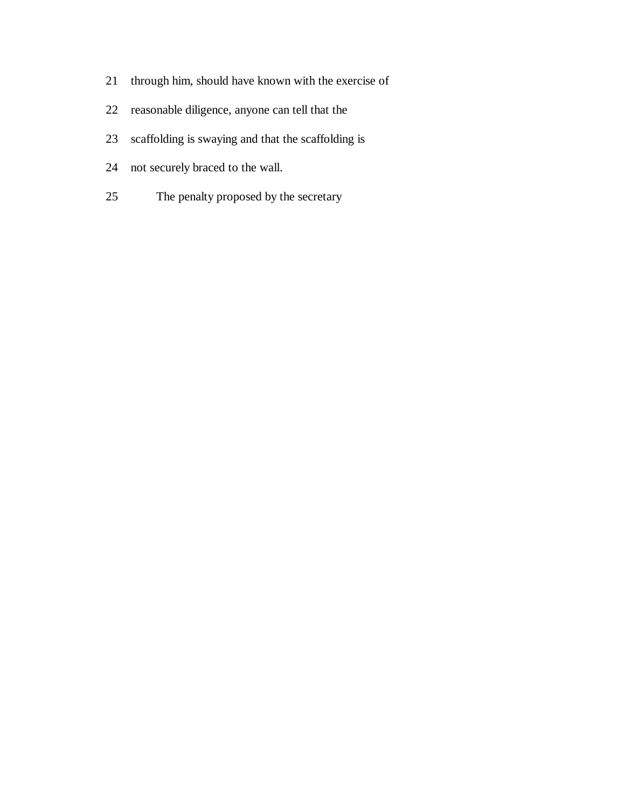- 21 through him, should have known with the exercise of
- 22 reasonable diligence, anyone can tell that the
- 23 scaffolding is swaying and that the scaffolding is
- 24 not securely braced to the wall.
- 25 The penalty proposed by the secretary